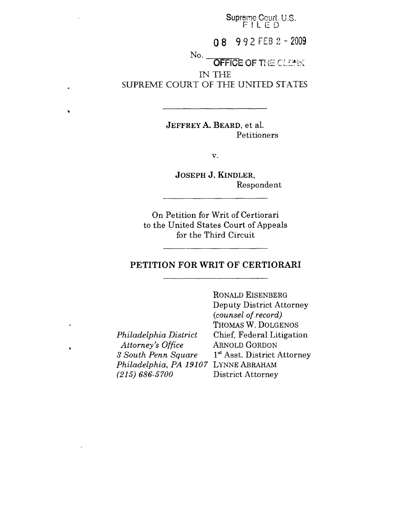Supreme Court, U.S. **F ~ L E D**

**08 992 FEB 2 -" 2009**

No.

**OFFICE OF THE CLEAK** IN THE SUPREME COURT OF THE UNITED STATES

> **JEFFREY A. BEARD, et al.** Petitioners

> > $V<sub>1</sub>$

JOSEPH J. KINDLER, Respondent

On Petition for Writ of Certiorari to the United States Court of Appeals for the Third Circuit

#### **PETITION FOR WRIT OF CERTIORARI**

*Philadelphia District Attorney's Office 3 South Penn Square Philadelphia, PA 19107* LYNNE ABRAHAM *(215) 686-5700*

 $\bullet$ 

RONALD EISENBERG Deputy District Attorney *(counsel of record)* THOMAS W. DOLGENOS Chief, Federal Litigation ARNOLD GORDON  $1<sup>st</sup>$  Asst. District Attorney District Attorney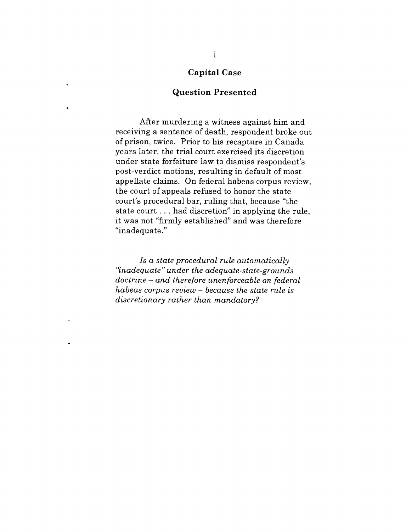#### **Capital Case**

#### **Question Presented**

After murdering a witness against him and receiving a sentence of death, respondent broke out of prison, twice. Prior to his recapture in Canada years later, the trial court exercised its discretion under state forfeiture law to dismiss respondent's post-verdict motions, resulting in default of most appellate claims. On federal habeas corpus review, the court of appeals refused to honor the state court's procedural bar, ruling that, because "the state court.., had discretion" in applying the rule, it was not "firmly established" and was therefore "inadequate."

*Is a state procedural rule automatically "inadequate" under the adequate-state-grounds doctrine - and therefore unenforceable on federal habeas corpus review- because the state rule is discretionary rather than mandatory?*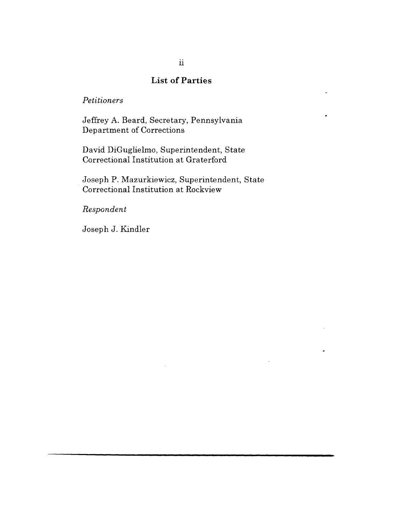### **List of Parties**

 $\ddot{\phantom{0}}$ 

#### *Petitioners*

Jeffrey A. Beard, Secretary, Pennsylvania Department of Corrections

David DiGuglielmo, Superintendent, State Correctional Institution at Graterford

Joseph P. Mazurkiewicz, Superintendent, State Correctional Institution at Rockview

*Respondent*

Joseph J. Kindler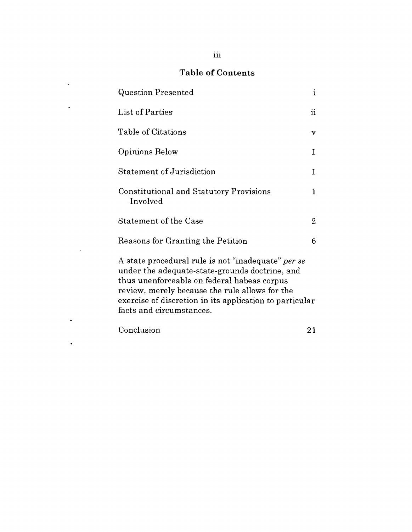# Table of Contents

 $\mathcal{L}^{\text{max}}_{\text{max}}$ 

 $\mathcal{L}^{\text{max}}$  , where  $\mathcal{L}^{\text{max}}$ 

 $\omega$ 

 $\hat{\mathbf{v}}$ 

| Question Presented                                                                                                                                                                                                                                                                           | $\mathbf{i}$        |
|----------------------------------------------------------------------------------------------------------------------------------------------------------------------------------------------------------------------------------------------------------------------------------------------|---------------------|
| List of Parties                                                                                                                                                                                                                                                                              | $\ddot{\mathbf{n}}$ |
| Table of Citations                                                                                                                                                                                                                                                                           | v                   |
| Opinions Below                                                                                                                                                                                                                                                                               | 1                   |
| Statement of Jurisdiction                                                                                                                                                                                                                                                                    | $\mathbf{1}$        |
| Constitutional and Statutory Provisions<br>Involved                                                                                                                                                                                                                                          | $\mathbf{1}$        |
| <b>Statement of the Case</b>                                                                                                                                                                                                                                                                 | $\overline{2}$      |
| Reasons for Granting the Petition                                                                                                                                                                                                                                                            | 6                   |
| A state procedural rule is not "inadequate" per se<br>under the adequate-state-grounds doctrine, and<br>thus unenforceable on federal habeas corpus<br>review, merely because the rule allows for the<br>exercise of discretion in its application to particular<br>facts and circumstances. |                     |
| Conclusion                                                                                                                                                                                                                                                                                   | 21                  |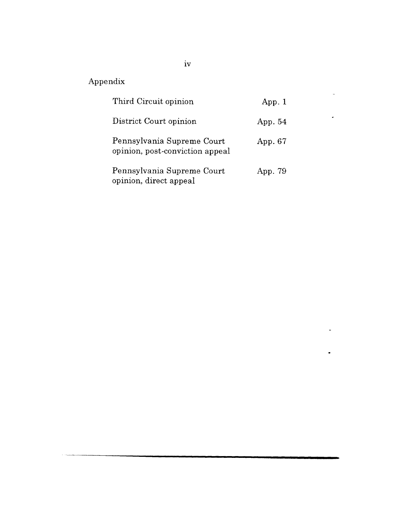# Appendix

| Third Circuit opinion                                         | App. 1  |
|---------------------------------------------------------------|---------|
| District Court opinion                                        | App. 54 |
| Pennsylvania Supreme Court<br>opinion, post-conviction appeal | App. 67 |
| Pennsylvania Supreme Court<br>opinion, direct appeal          | App. 79 |

 $\ddot{\phantom{a}}$ 

÷,

 $\ddot{\phantom{1}}$ 

 $\blacksquare$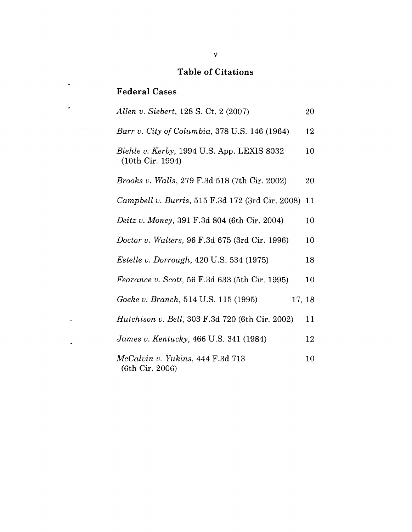## **Table of Citations**

# **Federal Cases**

 $\star$ 

 $\ddot{\phantom{a}}$ 

 $\omega$ 

 $\omega$ 

 $\sim 10^6$ 

| Allen v. Siebert, 128 S. Ct. 2 (2007)                          | 20     |
|----------------------------------------------------------------|--------|
| Barr v. City of Columbia, 378 U.S. 146 (1964)                  | 12     |
| Biehle v. Kerby, 1994 U.S. App. LEXIS 8032<br>(10th Cir. 1994) | 10     |
| <i>Brooks v. Walls, 279 F.3d 518 (7th Cir. 2002)</i>           | 20     |
| Campbell v. Burris, 515 F.3d 172 (3rd Cir. 2008)               | 11     |
| <i>Deitz v. Money,</i> 391 F.3d 804 (6th Cir. 2004)            | 10     |
| <i>Doctor v. Walters, 96 F.3d 675 (3rd Cir. 1996)</i>          | 10     |
| <i>Estelle v. Dorrough</i> , 420 U.S. 534 (1975)               | 18     |
| <i>Fearance v. Scott,</i> 56 F.3d 633 (5th Cir. 1995)          | 10     |
| Goeke v. Branch, 514 U.S. 115 (1995)                           | 17, 18 |
| <i>Hutchison v. Bell, 303 F.3d 720 (6th Cir. 2002)</i>         | 11     |
| James v. Kentucky, 466 U.S. 341 (1984)                         | 12     |
| McCalvin v. Yukins, 444 F.3d 713<br>(6th Cir. 2006)            | 10     |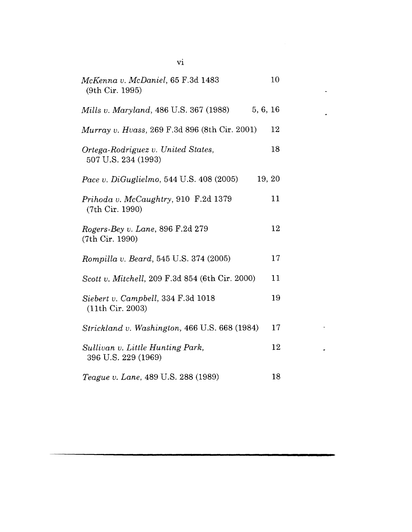| McKenna v. McDaniel, 65 F.3d 1483<br>(9th Cir. 1995)      | 10      |
|-----------------------------------------------------------|---------|
| 5, 6, 16<br>Mills v. Maryland, 486 U.S. 367 (1988)        |         |
| <i>Murray v. Hvass, 269 F.3d 896 (8th Cir. 2001)</i>      | 12      |
| Ortega-Rodriguez v. United States,<br>507 U.S. 234 (1993) | 18      |
| <i>Pace v. DiGuglielmo, 544 U.S. 408 (2005)</i>           | 19, 20  |
| Prihoda v. McCaughtry, 910 F.2d 1379<br>(7th Cir. 1990)   | 11      |
| Rogers-Bey v. Lane, 896 F.2d 279<br>(7th Cir. 1990)       | 12      |
| Rompilla v. Beard, 545 U.S. 374 (2005)                    | $17 \,$ |
| Scott v. Mitchell, 209 F.3d 854 (6th Cir. 2000)           | 11      |
| Siebert v. Campbell, 334 F.3d 1018<br>(11th Cir. 2003)    | 19      |
| Strickland v. Washington, 466 U.S. 668 (1984)             | 17      |
| Sullivan v. Little Hunting Park,<br>396 U.S. 229 (1969)   | 12      |
| Teague v. Lane, 489 U.S. 288 (1989)                       | 18      |

 $\ddot{\phantom{a}}$ 

 $\ddot{\phantom{0}}$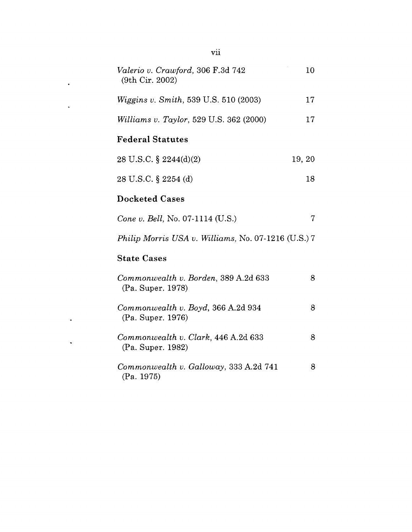| Valerio v. Crawford, 306 F.3d 742<br>(9th Cir. 2002)      | 10     |
|-----------------------------------------------------------|--------|
| <i>Wiggins v. Smith, 539 U.S. 510 (2003)</i>              | 17     |
| <i>Williams v. Taylor</i> , 529 U.S. 362 (2000)           | 17     |
| <b>Federal Statutes</b>                                   |        |
| 28 U.S.C. $\S$ 2244(d)(2)                                 | 19, 20 |
| 28 U.S.C. § 2254 (d)                                      | 18     |
| <b>Docketed Cases</b>                                     |        |
| Cone v. Bell, No. 07-1114 (U.S.)                          | 7      |
| Philip Morris USA v. Williams, No. 07-1216 (U.S.) 7       |        |
| <b>State Cases</b>                                        |        |
| Commonwealth v. Borden, 389 A.2d 633<br>(Pa. Super. 1978) | 8      |
| Commonwealth v. Boyd, 366 A.2d 934<br>(Pa. Super. 1976)   | 8      |
| Commonwealth v. Clark, 446 A.2d 633<br>(Pa. Super. 1982)  | 8      |
| Commonwealth v. Galloway, 333 A.2d 741<br>(Pa. 1975)      | 8      |

 $\hat{\mathbf{r}}$ 

 $\hat{\mathbf{z}}$ 

 $\ddot{\phantom{1}}$ 

 $\ddot{\phantom{a}}$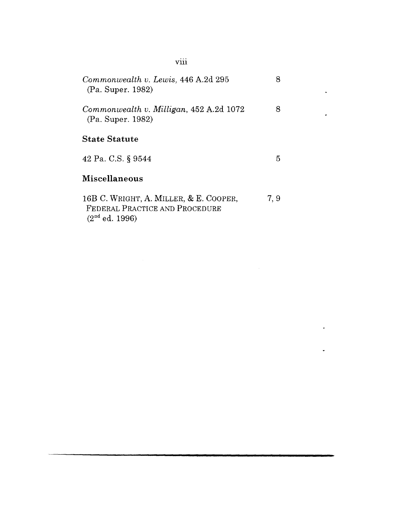| Commonwealth v. Lewis, 446 A.2d 295<br>(Pa. Super. 1982)                                     | 8    |
|----------------------------------------------------------------------------------------------|------|
| Commonwealth v. Milligan, 452 A.2d 1072<br>(Pa. Super. 1982)                                 |      |
| <b>State Statute</b>                                                                         |      |
| 42 Pa. C.S. § 9544                                                                           | 5.   |
| <b>Miscellaneous</b>                                                                         |      |
| 16B C. WRIGHT, A. MILLER, & E. COOPER,<br>FEDERAL PRACTICE AND PROCEDURE<br>$(2nd$ ed. 1996) | 7, 9 |

viii

 $\ddot{\phantom{0}}$ 

l,

L.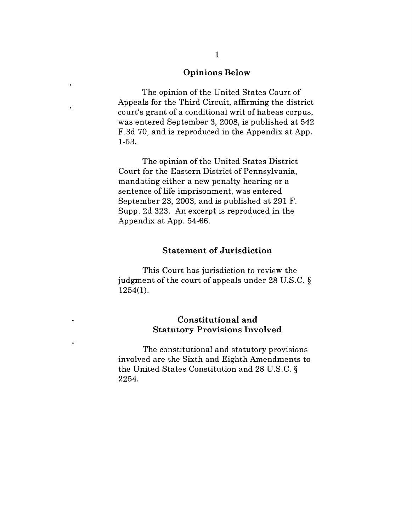#### **Opinions Below**

The opinion of the United States Court of Appeals for the Third Circuit, affirming the district court's grant of a conditional writ of habeas corpus, was entered September 3, 2008, is published at 542 F.3d 70, and is reproduced in the Appendix at App. 1-53.

The opinion of the United States District Court for the Eastern District of Pennsylvania, mandating either a new penalty hearing or a sentence of life imprisonment, was entered September 23, 2003, and is published at 291 F. Supp. 2d 323. An excerpt is reproduced in the Appendix at App. 54-66.

#### **Statement of Jurisdiction**

This Court has jurisdiction to review the judgment of the court of appeals under 28 U.S.C. § 1254(1).

#### **Constitutional and Statutory Provisions** Involved

The constitutional and statutory provisions involved are the Sixth and Eighth Amendments to the United States Constitution and 28 U.S.C. § 2254.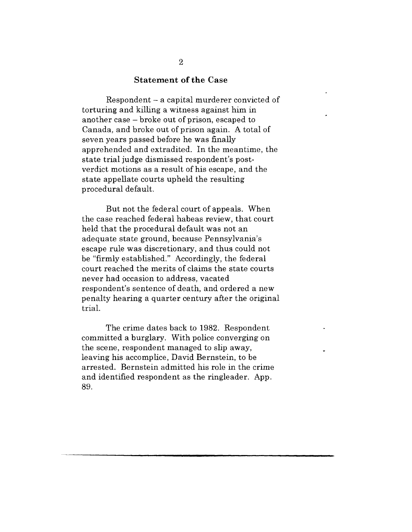#### **Statement of the Case**

Respondent - a capital murderer convicted of torturing and killing a witness against him in another case - broke out of prison, escaped to Canada, and broke out of prison again. A total of seven years passed before he was finally apprehended and extradited. In the meantime, the state trial judge dismissed respondent's postverdict motions as a result of his escape, and the state appellate courts upheld the resulting procedural default.

But not the federal court of appeals. When the case reached federal habeas review, that court held that the procedural default was not an adequate state ground, because Pennsylvania's escape rule was discretionary, and thus could not be "firmly established." Accordingly, the federal court reached the merits of claims the state courts never had occasion to address, vacated respondent's sentence of death, and ordered a new penalty hearing a quarter century after the original trial.

The crime dates back to 1982. Respondent committed a burglary. With police converging on the scene, respondent managed to slip away, leaving his accomplice, David Bernstein, to be arrested. Bernstein admitted his role in the crime and identified respondent as the ringleader. App. 89.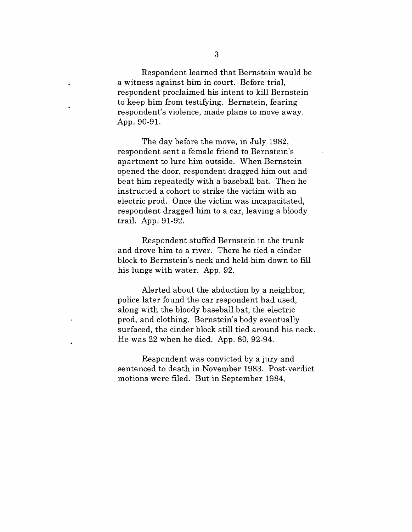Respondent learned that Bernstein would be a witness against him in court. Before trial, respondent proclaimed his intent to kill Bernstein to keep him from testifying. Bernstein, fearing respondent's violence, made plans to move away. App. 90-91.

The day before the move, in July 1982, respondent sent a female friend to Bernstein's apartment to lure him outside. When Bernstein opened the door, respondent dragged him out and beat him repeatedly with a baseball bat. Then he instructed a cohort to strike the victim with an electric prod. Once the victim was incapacitated, respondent dragged him to a car, leaving a bloody trail. App. 91-92.

Respondent stuffed Bernstein in the trunk and drove him to a river. There he tied a cinder block to Bernstein's neck and held him down to fill his lungs with water. App. 92.

Alerted about the abduction by a neighbor, police later found the car respondent had used, along with the bloody baseball bat, the electric prod, and clothing. Bernstein's body eventually surfaced, the cinder block still tied around his neck. He was 22 when he died. App. 80, 92-94.

Respondent was convicted by a jury and sentenced to death in November 1983. Post-verdict motions were filed. But in September 1984,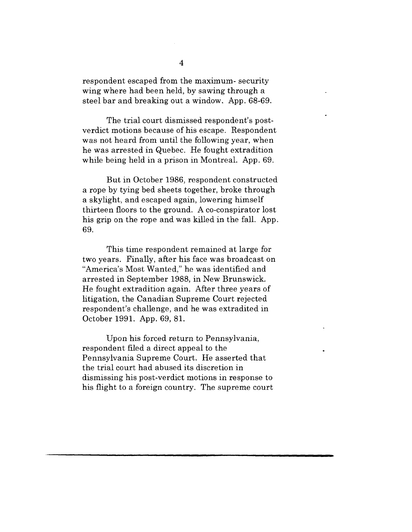respondent escaped from the maximum- security wing where had been held, by sawing through a steel bar and breaking out a window. App. 68-69.

The trial court dismissed respondent's postverdict motions because of his escape. Respondent was not heard from until the following year, when he was arrested in Quebec. He fought extradition while being held in a prison in Montreal. App. 69.

But in October 1986, respondent constructed a rope by tying bed sheets together, broke through a skylight, and escaped again, lowering himself thirteen floors to the ground. A co-conspirator lost his grip on the rope and was killed in the fall. App. 69.

This time respondent remained at large for two years. Finally, after his face was broadcast on "America's Most Wanted," he was identified and arrested in September 1988, in New Brunswick. He fought extradition again. After three years of litigation, the Canadian Supreme Court rejected respondent's challenge, and he was extradited in October 1991. App. 69, 81.

Upon his forced return to Pennsylvania, respondent filed a direct appeal to the Pennsylvania Supreme Court. He asserted that the trial court had abused its discretion in dismissing his post-verdict motions in response to his flight to a foreign country. The supreme court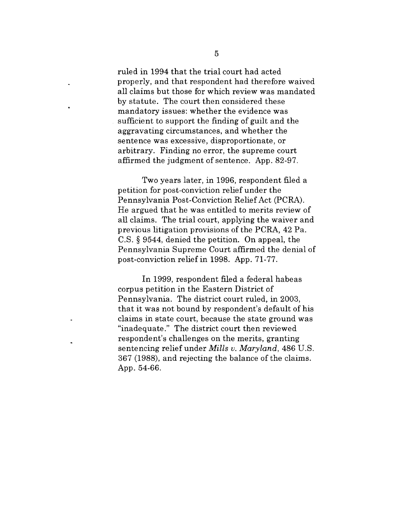ruled in 1994 that the trial court had acted properly, and that respondent had therefore waived all claims but those for which review was mandated by statute. The court then considered these mandatory issues: whether the evidence was sufficient to support the finding of guilt and the aggravating circumstances, and whether the sentence was excessive, disproportionate, or arbitrary. Finding no error, the supreme court affirmed the judgment of sentence. App. 82-97.

Two years later, in 1996, respondent filed a petition for post-conviction relief under the Pennsylvania Post-Conviction Relief Act (PCRA). He argued that he was entitled to merits review of all claims. The trial court, applying the waiver and previous litigation provisions of the PCRA, 42 Pa. C.S. § 9544, denied the petition. On appeal, the Pennsylvania Supreme Court affirmed the denial of post-conviction relief in 1998. App. 71-77.

In 1999, respondent filed a federal habeas corpus petition in the Eastern District of Pennsylvania. The district court ruled, in 2003, that it was not bound by respondent's default of his claims in state court, because the state ground was "inadequate." The district court then reviewed respondent's challenges on the merits, granting sentencing relief under *Mills v. Maryland,* 486 U.S. 367 (1988), and rejecting the balance of the claims. App. 54-66.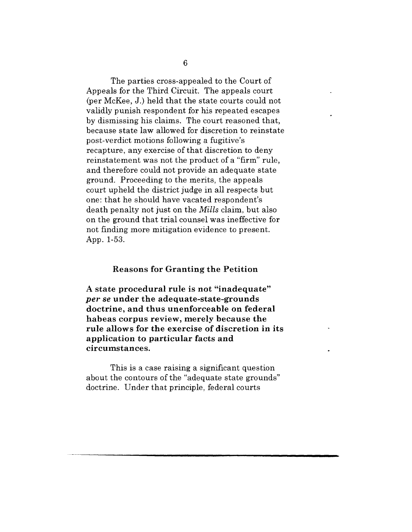The parties cross-appealed to the Court of Appeals for the Third Circuit. The appeals court (per McKee, J.) held that the state courts could not validly punish respondent for his repeated escapes by dismissing his claims. The court reasoned that, because state law allowed for discretion to reinstate post-verdict motions following a fugitive's recapture, any exercise of that discretion to deny reinstatement was not the product of a "firm" rule, and therefore could not provide an adequate state ground. Proceeding to the merits, the appeals court upheld the district judge in all respects but one: that he should have vacated respondent's death penalty not just on the *Mills* claim, but also on the ground that trial counsel was ineffective for not finding more mitigation evidence to present. App. 1-53.

#### **Reasons for Granting the Petition**

**A state procedural rule is not "inadequate"** *per se* **under the adequate-state-grounds doctrine, and thus unenforceable on federal habeas corpus review, merely because the rule allows for the exercise of discretion in its application to particular facts and circumstances.**

This is a case raising a significant question about the contours of the "adequate state grounds" doctrine. Under that principle, federal courts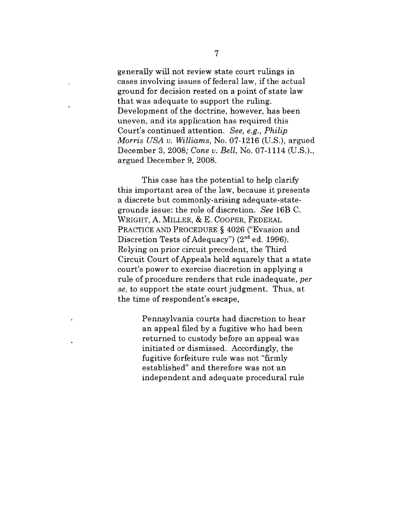generally will not review state court rulings in cases involving issues of federal law, if the actual ground for decision rested on a point of state law that was adequate to support the ruling. Development of the doctrine, however, has been uneven, and its application has required this Court's continued attention. *See, e.g., Philip Morris USA v. Williams,* No. 07-1216 (U.S.), argued December 3, 2008; *Cone v. Bell,* No. 07-1114 (U.S.)., argued December 9, 2008.

This case has the potential to help clarify this important area of the law, because it presents a discrete but commonly-arising adequate-stategrounds issue: the role of discretion. *See* 16B C. WRIGHT, A. MILLER, & E. COOPER, FEDERAL PRACTICE AND PROCEDURE § 4026 ("Evasion and Discretion Tests of Adequacy")  $(2<sup>nd</sup>$  ed. 1996). Relying on prior circuit precedent, the Third Circuit Court of Appeals held squarely that a state court's power to exercise discretion in applying a rule of procedure renders that rule inadequate, *per se,* to support the state court judgment. Thus, at the time of respondent's escape,

> Pennsylvania courts had discretion to hear an appeal filed by a fugitive who had been returned to custody before an appeal was initiated or dismissed. Accordingly, the fugitive forfeiture rule was not "firmly established" and therefore was not an independent and adequate procedural rule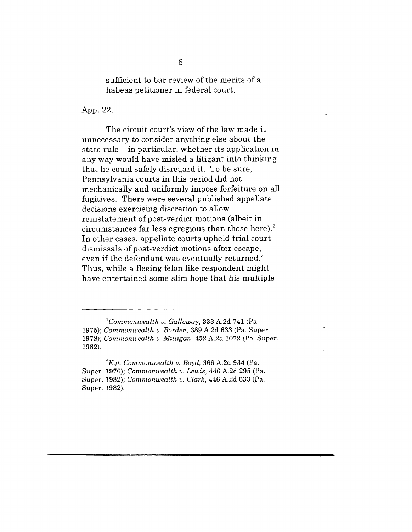sufficient to bar review of the merits of a habeas petitioner in federal court.

App. 22.

The circuit court's view of the law made it unnecessary to consider anything else about the state rule  $-$  in particular, whether its application in any way would have misled a litigant into thinking that he could safely disregard it. To be sure, Pennsylvania courts in this period did not mechanically and uniformly impose forfeiture on all fugitives. There were several published appellate decisions exercising discretion to allow reinstatement of post-verdict motions (albeit in circumstances far less egregious than those here).<sup>1</sup> In other cases, appellate courts upheld trial court dismissals of post-verdict motions after escape, even if the defendant was eventually returned.<sup>2</sup> Thus, while a fleeing felon like respondent might have entertained some slim hope that his multiple

*<sup>1</sup>Commonwealth v. Galloway,* 333 A.2d 741 (Pa. 1975); *Commonwealth v. Borden,* 389 A.2d 633 (Pa. Super. 1978); *Commonwealth v. Milligan,* 452 A.2d 1072 (Pa. Super. 1982).

*<sup>2</sup>E.g. Commonwealth v. Boyd,* 366 A.2d 934 (Pa. Super. 1976); *Commonwealth v. Lewis,* 446 A.2d 295 (Pa. Super. 1982); *Commonwealth v. Clark,* 446 A.2d 633 (Pa. Super. 1982).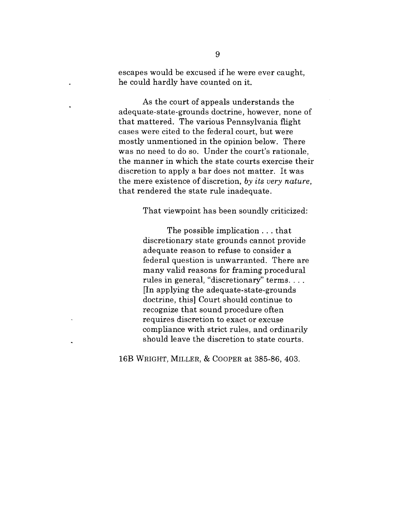escapes would be excused if he were ever caught, he could hardly have counted on it.

As the court of appeals understands the adequate-state-grounds doctrine, however, none of that mattered. The various Pennsylvania flight cases were cited to the federal court, but were mostly unmentioned in the opinion below. There was no need to do so. Under the court's rationale, the manner in which the state courts exercise their discretion to apply a bar does not matter. It was the mere existence of discretion, *by its very nature,* that rendered the state rule inadequate.

That viewpoint has been soundly criticized:

The possible implication.., that discretionary state grounds cannot provide adequate reason to refuse to consider a federal question is unwarranted. There are many valid reasons for framing procedural rules in general, "discretionary" terms.... [In applying the adequate-state-grounds doctrine, this] Court should continue to recognize that sound procedure often requires discretion to exact or excuse compliance with strict rules, and ordinarily should leave the discretion to state courts.

16B WRIGHT, MILLER, & COOPER at 385-86, 403.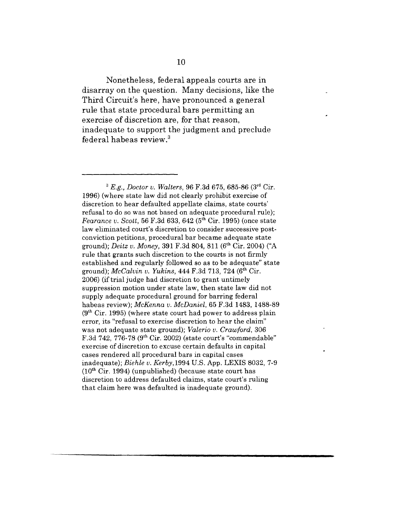Nonetheless, federal appeals courts are in disarray on the question. Many decisions, like the Third Circuit's here, have pronounced a general rule that state procedural bars permitting an exercise of discretion are, for that reason, inadequate to support the judgment and preclude federal habeas review.3

*~ E.g., Doctor v. Walters,* 96 F.3d 675, 685-86 (3rd Cir. 1996) (where state law did not clearly prohibit exercise of discretion to hear defaulted appellate claims, state courts' refusal to do so was not based on adequate procedural rule); *Fearance v. Scott,* 56 F.3d 633, 642 (5<sup>th</sup> Cir. 1995) (once state law eliminated court's discretion to consider successive postconviction petitions, procedural bar became adequate state ground); *Deitz v. Money,* 391 F.3d 804, 811 (6th Cir. 2004) ("A rule that grants such discretion to the courts is not firmly established and regularly followed so as to be adequate" state ground); *McCalvin v. Yukins*, 444 F.3d 713, 724 (6<sup>th</sup> Cir. 2006) (if trial judge had discretion to grant untimely suppression motion under state law, then state law did not supply adequate procedural ground for barring federal habeas review); *McKenna v. McDaniel,* 65 F.3d 1483, 1488-89  $(9<sup>th</sup> Cir. 1995)$  (where state court had power to address plain error, its "refusal to exercise discretion to hear the claim" was not adequate state ground); *Valerio v. Crawford,* 306 F.3d 742, 776-78 ( $9<sup>th</sup>$  Cir. 2002) (state court's "commendable" exercise of discretion to excuse certain defaults in capital cases rendered all procedural bars in capital cases inadequate); *Biehle v. Kerby,1994* U.S. App. LEXIS 8032, 7-9  $(10<sup>th</sup> Cir. 1994)$  (unpublished) (because state court has discretion to address defaulted claims, state court's ruling that claim here was defaulted is inadequate ground).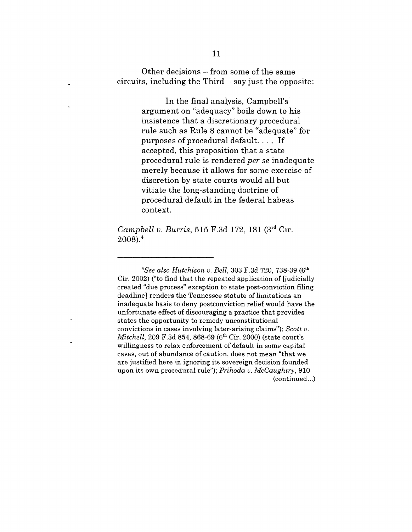Other decisions **-** from some of the same  $circuits$ , including the Third  $-$  say just the opposite:

> In the final analysis, Campbell's argument on "adequacy" boils down to his insistence that a discretionary procedural rule such as Rule 8 cannot be "adequate" for purposes of procedural default.... If accepted, this proposition that a state procedural rule is rendered *per se* inadequate merely because it allows for some exercise of discretion by state courts would all but vitiate the long-standing doctrine of procedural default in the federal habeas context.

*Campbell v. Burris,* 515 F.3d 172, 181 (3rd Cir.  $2008$ ).<sup>4</sup>

*<sup>4</sup>See also Hutchison v. Bell,* 303 F.3d 720, 738-39 (6th Cir. 2002) ("to find that the repeated application of [judicially created "due process" exception to state post-conviction filing deadline] renders the Tennessee statute of limitations an inadequate basis to deny postconviction relief would have the unfortunate effect of discouraging a practice that provides states the opportunity to remedy unconstitutional convictions in cases involving later-arising claims"); *Scott v. Mitchell, 209 F.3d 854, 868-69 (6<sup>th</sup> Cir. 2000) (state court's* willingness to relax enforcement of default in some capital cases, out of abundance of caution, does not mean "that we are justified here in ignoring its sovereign decision founded upon its own procedural rule"); *Prihoda v. McCaughtry,* 910 (continued...)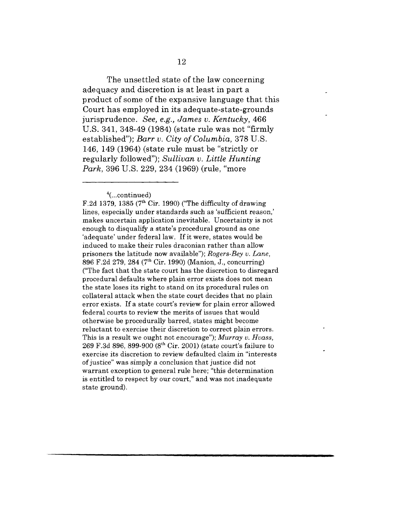The unsettled state of the law concerning adequacy and discretion is at least in part a product of some of the expansive language that this Court has employed in its adequate-state-grounds jurisprudence. *See, e.g., James v. Kentucky,* 466 U.S. 341, 348-49 (1984) (state rule was not "firmly established"); *Barr v. City of Columbia*, 378 U.S. 146, 149 (1964) (state rule must be "strictly or regularly followed"); *Sullivan v. Little Hunting Park,* 396 U.S. 229, 234 (1969) (rule, "more

F.2d 1379, 1385 ( $7<sup>th</sup>$  Cir. 1990) ("The difficulty of drawing lines, especially under standards such as 'sufficient reason,' makes uncertain application inevitable. Uncertainty is not enough to disqualify a state's procedural ground as one 'adequate' under federal law. If it were, states would be induced to make their rules draconian rather than allow prisoners the latitude now available"); *Rogers-Bey v. Lane,* 896 F.2d 279, 284 (7th Cir. 1990) (Manion, J., concurring) ("The fact that the state court has the discretion to disregard procedural defaults where plain error exists does not mean the state loses its right to stand on its procedural rules on collateral attack when the state court decides that no plain error exists. If a state court's review for plain error allowed federal courts to review the merits of issues that would otherwise be procedurally barred, states might become reluctant to exercise their discretion to correct plain errors. This is a result we ought not encourage"); *Murray v. Hvass,* 269 F.3d 896, 899-900  $(8^{th}$  Cir. 2001) (state court's failure to exercise its discretion to review defaulted claim in "interests of justice" was simply a conclusion that justice did not warrant exception to general rule here; "this determination is entitled to respect by our court," and was not inadequate state ground).

 $4$ (...continued)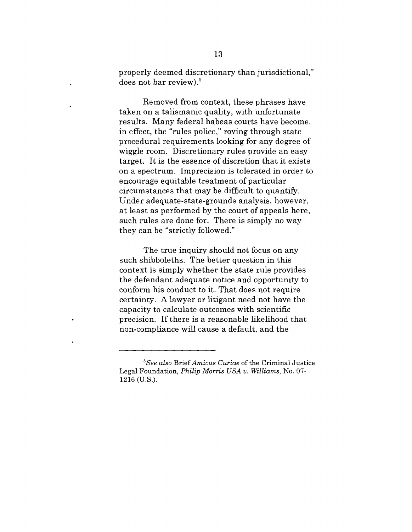properly deemed discretionary than jurisdictional," does not bar review).<sup>5</sup>

Removed from context, these phrases have taken on a talismanic quality, with unfortunate results. Many federal habeas courts have become, in effect, the "rules police," roving through state procedural requirements looking for any degree of wiggle room. Discretionary rules provide an easy target. It is the essence of discretion that it exists on a spectrum. Imprecision is tolerated in order to encourage equitable treatment of particular circumstances that may be difficult to quantify. Under adequate-state-grounds analysis, however, at least as performed by the court of appeals here, such rules are done for. There is simply no way they can be "strictly followed."

The true inquiry should not focus on any such shibboleths. The better question in this context is simply whether the state rule provides the defendant adequate notice and opportunity to conform his conduct to it. That does not require certainty. A lawyer or litigant need not have the capacity to calculate outcomes with scientific precision. If there is a reasonable likelihood that non-compliance will cause a default, and the

*<sup>5</sup>See also Brief Amicus Curiae* of the Criminal Justice Legal Foundation, *Philip Morris USA v. Williams,* No. 07- 1216 (U.S.).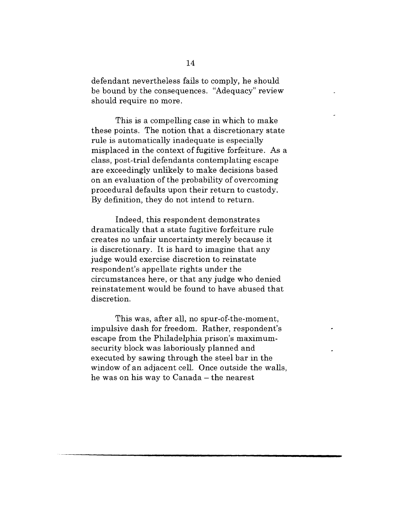defendant nevertheless fails to comply, he should be bound by the consequences. "Adequacy" review should require no more.

This is a compelling case in which to make these points. The notion that a discretionary state rule is automatically inadequate is especially misplaced in the context of fugitive forfeiture. As a class, post-trial defendants contemplating escape are exceedingly unlikely to make decisions based on an evaluation of the probability of overcoming procedural defaults upon their return to custody. By definition, they do not intend to return.

Indeed, this respondent demonstrates dramatically that a state fugitive forfeiture rule creates no unfair uncertainty merely because it is discretionary. It is hard to imagine that any judge would exercise discretion to reinstate respondent's appellate rights under the circumstances here, or that any judge who denied reinstatement would be found to have abused that discretion.

This was, after all, no spur-of-the-moment, impulsive dash for freedom. Rather, respondent's escape from the Philadelphia prison's maximumsecurity block was laboriously planned and executed by sawing through the steel bar in the window of an adjacent cell. Once outside the walls, he was on his way to Canada  $-$  the nearest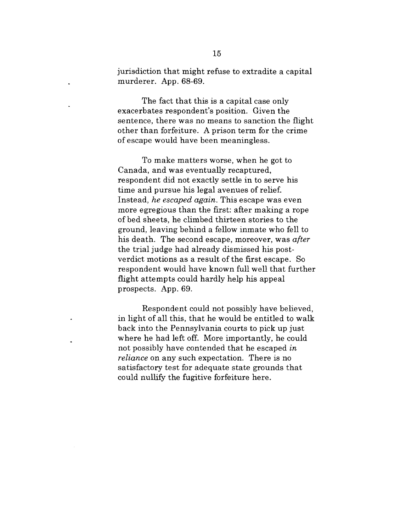jurisdiction that might refuse to extradite a capital murderer. App. 68-69.

The fact that this is a capital case only exacerbates respondent's position. Given the sentence, there was no means to sanction the flight other than forfeiture. A prison term for the crime of escape would have been meaningless.

To make matters worse, when he got to Canada, and was eventually recaptured, respondent did not exactly settle in to serve his time and pursue his legal avenues of relief. Instead, *he escaped again.* This escape was even more egregious than the first: after making a rope of bed sheets, he climbed thirteen stories to the ground, leaving behind a fellow inmate who fell to his death. The second escape, moreover, was *after* the trial judge had already dismissed his postverdict motions as a result of the first escape. So respondent would have known full well that further flight attempts could hardly help his appeal prospects. App. 69.

Respondent could not possibly have believed, in light of all this, that he would be entitled to walk back into the Pennsylvania courts to pick up just where he had left off. More importantly, he could not possibly have contended that he escaped *in reliance* on any such expectation. There is no satisfactory test for adequate state grounds that could nullify the fugitive forfeiture here.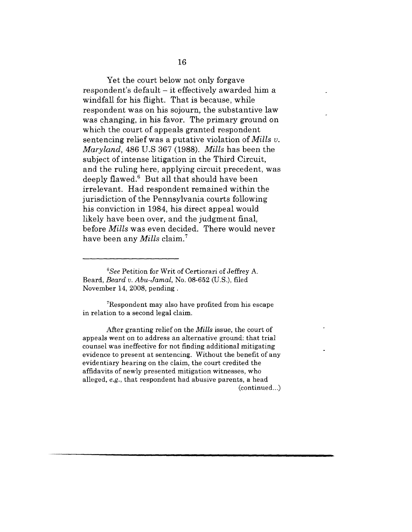Yet the court below not only forgave respondent's default - it effectively awarded him a windfall for his flight. That is because, while respondent was on his sojourn, the substantive law was changing, in his favor. The primary ground on which the court of appeals granted respondent sentencing relief was a putative violation of *Mills v. Maryland,* 486 U.S 367 (1988). *Mills* has been the subject of intense litigation in the Third Circuit, and the ruling here, applying circuit precedent, was deeply flawed. $6$  But all that should have been irrelevant. Had respondent remained within the jurisdiction of the Pennsylvania courts following his conviction in 1984, his direct appeal would likely have been over, and the judgment final, before *Mills* was even decided. There would never have been any *Mills* claim.7

7Respondent may also have profited from his escape in relation to a second legal claim.

After granting relief on the *Mills* issue, the court of appeals went on to address an alternative ground: that trial counsel was ineffective for not finding additional mitigating evidence to present at sentencing. Without the benefit of any evidentiary hearing on the claim, the court credited the affidavits of newly presented mitigation witnesses, who alleged, *e.g.,* that respondent had abusive parents, a head (continued...)

*<sup>6</sup>See* Petition for Writ of Certiorari of Jeffrey A. Beard, *Beard v. Abu-Jamal,* No. 08-652 (U.S.), filed November 14, 2008, pending.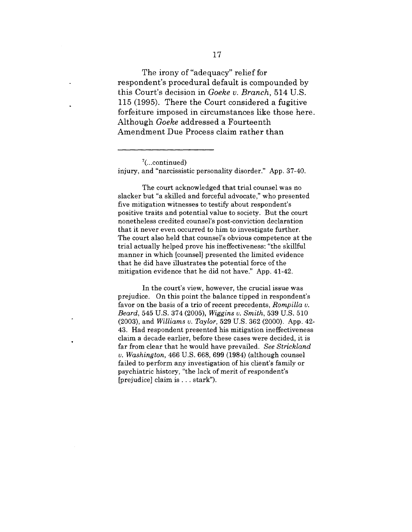The irony of "adequacy" relief for respondent's procedural default is compounded by this Court's decision in *Goeke v. Branch,* 514 U.S. 115 (1995). There the Court considered a fugitive forfeiture imposed in circumstances like those here. Although *Goeke* addressed a Fourteenth Amendment Due Process claim rather than

The court acknowledged that trial counsel was no slacker but "a skilled and forceful advocate," who presented five mitigation witnesses to testify about respondent's positive traits and potential value to society. But the court nonetheless credited counsel's post-conviction declaration that it never even occurred to him to investigate further. The court also held that counsel's obvious competence at the trial actually helped prove his ineffectiveness: "the skillful manner in which [counsel] presented the limited evidence that he did have illustrates the potential force of the mitigation evidence that he did not have." App. 41-42.

In the court's view, however, the crucial issue was prejudice. On this point the balance tipped in respondent's favor on the basis of a trio of recent precedents, *Rompilla v. Beard,* 545 U.S. 374 (2005), *Wiggins v. Smith,* 539 U.S. 510 (2003), and *Williams v. Taylor,* 529 U.S. 362 (2000). App. 42- 43. Had respondent presented his mitigation ineffectiveness claim a decade earlier, before these cases were decided, it is far from clear that he would have prevailed. *See Strickland v. Washington,* 466 U.S. 668, 699 (1984) (although counsel failed to perform any investigation of his client's family or psychiatric history, "the lack of merit of respondent's [prejudice] claim is... stark").

 $7$ (...continued) injury, and "narcissistic personality disorder." App. 37-40.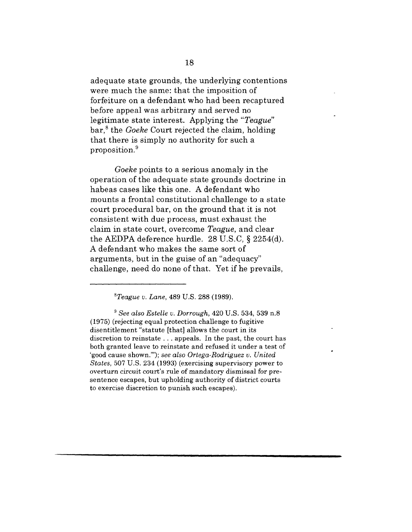adequate state grounds, the underlying contentions were much the same: that the imposition of forfeiture on a defendant who had been recaptured before appeal was arbitrary and served no legitimate state interest. Applying the *"Teague"* bar,<sup>8</sup> the *Goeke* Court rejected the claim, holding that there is simply no authority for such a proposition.9

*Goeke* points to a serious anomaly in the operation of the adequate state grounds doctrine in habeas cases like this one. A defendant who mounts a frontal constitutional challenge to a state court procedural bar, on the ground that it is not consistent with due process, must exhaust the claim in state court, overcome *Teague,* and clear the AEDPA deference hurdle. 28 U.S.C, § 2254(d). A defendant who makes the same sort of arguments, but in the guise of an "adequacy" challenge, need do none of that. Yet if he prevails,

*STeague v. Lane,* 489 U.S. 288 (1989).

*~ See also Estelle v. Dorrough,* 420 U.S. 534, 539 n.8 (1975) (rejecting equal protection challenge to fugitive disentitlement "statute [that] allows the court in its discretion to reinstate.., appeals. In the past, the court has both granted leave to reinstate and refused it under a test of 'good cause shown.'"); *see also Ortega-Rodriguez v. United States,* 507 U.S. 234 (1993) (exercising supervisory power to overturn circuit court's rule of mandatory dismissal for presentence escapes, but upholding authority of district courts to exercise discretion to punish such escapes).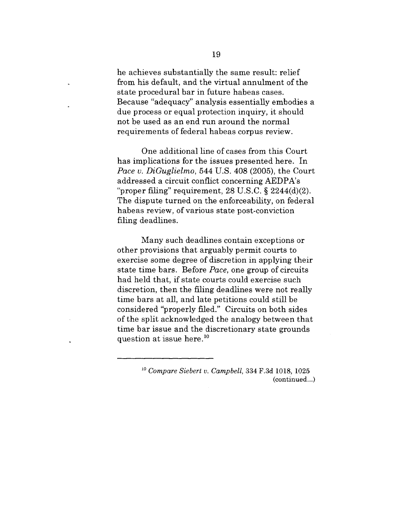he achieves substantially the same result: relief from his default, and the virtual annulment of the state procedural bar in future habeas cases. Because "adequacy" analysis essentially embodies a due process or equal protection inquiry, it should not be used as an end run around the normal requirements of federal habeas corpus review.

One additional line of cases from this Court has implications for the issues presented here. In *Pace v. DiGuglielmo,* 544 U.S. 408 (2005), the Court addressed a circuit conflict concerning AEDPA's "proper filing" requirement,  $28$  U.S.C.  $\S$   $2244(d)(2)$ . The dispute turned on the enforceability, on federal habeas review, of various state post-conviction filing deadlines.

Many such deadlines contain exceptions or other provisions that arguably permit courts to exercise some degree of discretion in applying their state time bars. Before *Pace,* one group of circuits had held that, if state courts could exercise such discretion, then the filing deadlines were not really time bars at all, and late petitions could still be considered "properly filed." Circuits on both sides of the split acknowledged the analogy between that time bar issue and the discretionary state grounds question at issue here.1°

> *Compare Siebert v. Campbell,* 334 F.3d 1018, 1025 (continued...)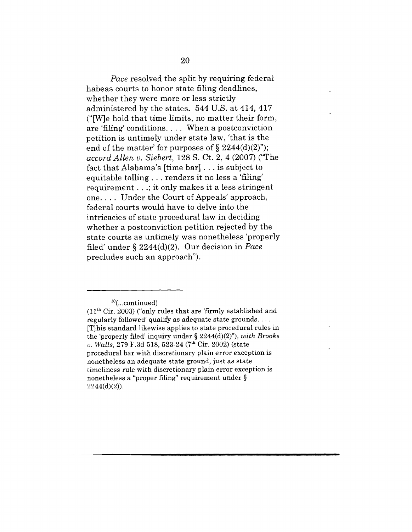*Pace* resolved the split by requiring federal habeas courts to honor state filing deadlines, whether they were more or less strictly administered by the states. 544 U.S. at 414, 417 ("[W]e hold that time limits, no matter their form, are 'filing' conditions .... When a postconviction petition is untimely under state law, 'that is the end of the matter' for purposes of  $\S 2244(d)(2)$ "); *accord Allen v. Siebert,* 128 S. Ct. 2, 4 (2007) ("The fact that Alabama's [time bar] . . . is subject to equitable tolling.., renders it no less a 'filing' requirement...; it only makes it a less stringent one.... Under the Court of Appeals' approach, federal courts would have to delve into the intricacies of state procedural law in deciding whether a postconviction petition rejected by the state courts as untimely was nonetheless 'properly filed' under § 2244(d)(2). Our decision in *Pace* precludes such an approach").

 $10$ (...continued)

<sup>(11</sup>th Cir. 2003) ("only rules that are 'firmly established and regularly followed' qualify as adequate state grounds.... [T]his standard likewise applies to state procedural rules in the 'properly filed' inquiry under § 2244(d)(2)"), *with Brooks v. Walls, 279 F.3d 518, 523-24 (7<sup>th</sup> Cir. 2002)* (state procedural bar with discretionary plain error exception is nonetheless an adequate state ground, just as state timeliness rule with discretionary plain error exception is nonetheless a "proper filing" requirement under §  $2244(d)(2)$ ).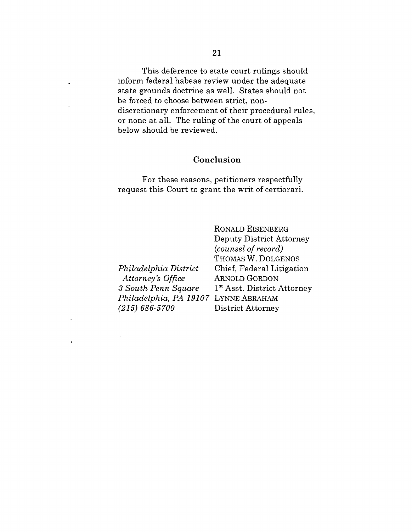This deference to state court rulings should inform federal habeas review under the adequate state grounds doctrine as well. States should not be forced to choose between strict, nondiscretionary enforcement of their procedural rules, or none at all. The ruling of the court of appeals below should be reviewed.

#### **Conclusion**

For these reasons, petitioners respectfully request this Court to grant the writ of certiorari.

*Philadelphia District Attorney's Office 3 South Penn Square Philadelphia, PA 19107* LYNNE ABRAHAM *(215) 686-5700*

 $\ddot{ }$ 

RONALD EISENBERG Deputy District Attorney *(counsel of record)* THOMAS W. DOLGENOS Chief, Federal Litigation ARNOLD GORDON 1 st Asst. District Attorney District Attorney